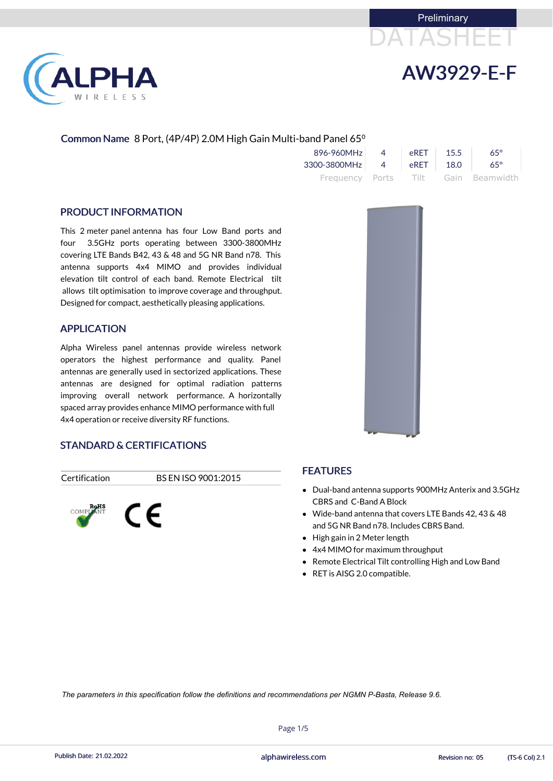



## Common Name 8 Port, (4P/4P) 2.0M High Gain Multi-band Panel 65<sup>o</sup>

| 896-960MHz   | $\Delta$ | eRFT | 15.5  | $65^\circ$                          |
|--------------|----------|------|-------|-------------------------------------|
| 3300-3800MHz | $\sim$ 4 | eRET | -18.0 | $65^\circ$                          |
|              |          |      |       | Frequency Ports Tilt Gain Beamwidth |

### PRODUCT INFORMATION

This 2 meter panel antenna has four Low Band ports and four 3.5GHz ports operating between 3300-3800MHz covering LTE Bands B42, 43 & 48 and 5G NR Band n78. This antenna supports 4x4 MIMO and provides individual elevation tilt control of each band. Remote Electrical tilt allows tilt optimisation to improve coverage and throughput. Designed for compact, aesthetically pleasing applications.

- Dual-band antenna supports 900MHz Anterix and 3.5GHz CBRS and C-Band A Block
- Wide-band antenna that covers LTE Bands 42, 43 & 48 and 5G NR Band n78. Includes CBRS Band.
- High gain in 2 Meter length
- 4x4 MIMO for maximum throughput
- Remote Electrical Tilt controlling High and Low Band
- RET is AISG 2.0 compatible.



### APPLICATION

Alpha Wireless panel antennas provide wireless network operators the highest performance and quality. Panel antennas are generally used in sectorized applications. These antennas are designed for optimal radiation patterns improving overall network performance. A horizontally spaced array provides enhance MIMO performance with full 4x4 operation or receive diversity RF functions.

### STANDARD & CERTIFICATIONS

Certification BS EN ISO 9001:2015





### FEATURES

Page 1/5



Publish Date: 21.02.2022 **Exercise 21.02.2022** alphawireless.com **Revision no: 05** (TS-6 Col) 2.1

*The parameters in this specification follow the definitions and recommendations per NGMN P-Basta, Release 9.6.*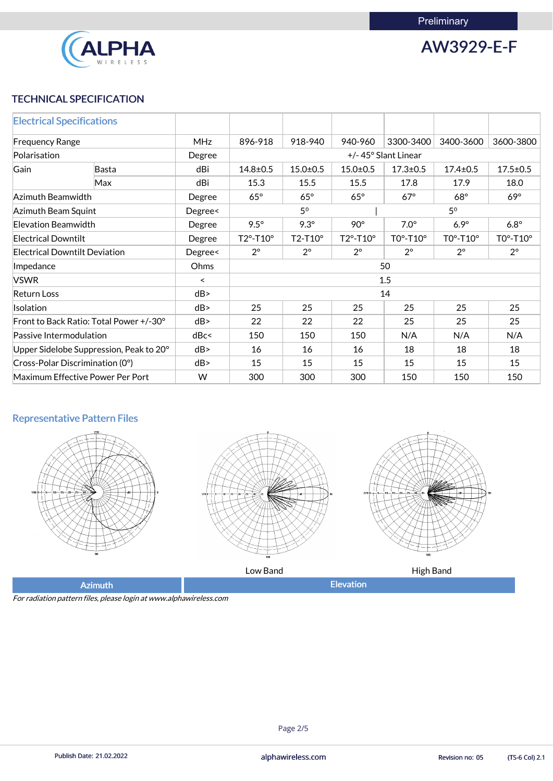

AW3929-E-F

## TECHNICAL SPECIFICATION

| <b>Electrical Specifications</b>     |                                               |                          |                                                                         |                |                              |                |                              |                |
|--------------------------------------|-----------------------------------------------|--------------------------|-------------------------------------------------------------------------|----------------|------------------------------|----------------|------------------------------|----------------|
| <b>Frequency Range</b>               |                                               | <b>MHz</b>               | 896-918                                                                 | 918-940        | 940-960                      | 3300-3400      | 3400-3600                    | 3600-3800      |
| Polarisation                         |                                               | Degree                   | +/-45° Slant Linear                                                     |                |                              |                |                              |                |
| Gain                                 | <b>Basta</b>                                  | dBi                      | $14.8 \pm 0.5$                                                          | $15.0 + 0.5$   | $15.0 \pm 0.5$               | $17.3 \pm 0.5$ | $17.4 \pm 0.5$               | $17.5 \pm 0.5$ |
|                                      | Max                                           | dBi                      | 15.3                                                                    | 15.5           | 15.5                         | 17.8           | 17.9                         | 18.0           |
| Azimuth Beamwidth                    |                                               | Degree                   | $65^\circ$                                                              | $65^\circ$     | $65^\circ$                   | $67^\circ$     | $68^\circ$                   | $69^\circ$     |
| Azimuth Beam Squint                  |                                               | Degree<                  |                                                                         | 5 <sup>0</sup> |                              |                | 5 <sup>0</sup>               |                |
| <b>Elevation Beamwidth</b>           |                                               | Degree                   | $9.5^\circ$                                                             | $9.3^\circ$    | $90^\circ$                   | $7.0^\circ$    | $6.9^\circ$                  | $6.8^\circ$    |
| <b>Electrical Downtilt</b>           |                                               | Degree                   | $T2^{\circ}$ -T10 $^{\circ}$                                            | $T2-T10^\circ$ | $T2^{\circ}$ -T10 $^{\circ}$ | $TOo-T10o$     | $TO^{\circ}$ -T10 $^{\circ}$ | $TOo-T10o$     |
| <b>Electrical Downtilt Deviation</b> |                                               | Degree<                  | $2^{\circ}$<br>$2^{\circ}$<br>$2^{\circ}$<br>$2^{\circ}$<br>$2^{\circ}$ |                | $2^{\circ}$                  |                |                              |                |
| Impedance                            |                                               | Ohms                     | 50                                                                      |                |                              |                |                              |                |
| <b>VSWR</b>                          |                                               | $\overline{\phantom{0}}$ | 1.5                                                                     |                |                              |                |                              |                |
| <b>Return Loss</b>                   |                                               | dB                       | 14                                                                      |                |                              |                |                              |                |
| Isolation                            |                                               | dB                       | 25                                                                      | 25             | 25                           | 25             | 25                           | 25             |
|                                      | Front to Back Ratio: Total Power +/-30°<br>dB |                          | 22                                                                      | 22             | 22                           | 25             | 25                           | 25             |
| Passive Intermodulation              |                                               | dBc<                     | 150<br>150<br>150<br>N/A                                                |                | N/A                          | N/A            |                              |                |
|                                      | Upper Sidelobe Suppression, Peak to 20°       | dB                       | 18<br>16<br>16<br>16<br>18                                              |                |                              | 18             |                              |                |
|                                      | Cross-Polar Discrimination (0°)               | dB                       | 15                                                                      | 15             | 15                           | 15             | 15                           | 15             |
|                                      | Maximum Effective Power Per Port              | W                        | 300                                                                     | 300            | 300                          | 150            | 150                          | 150            |

## Representative Pattern Files







Low Band **All Community Community** Equation High Band

Azimuth **Elevation** 

For radiation pattern files, please login at www.alphawireless.com

## Page 2/5

Publish Date: 21.02.2022 **Exercise 20:03 Collection** and phawireless.com **Revision no: 05** (TS-6 Col) 2.1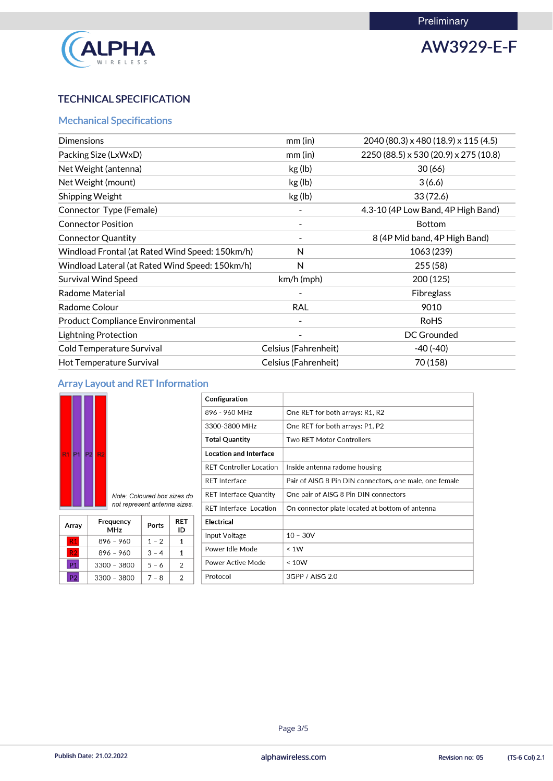

AW3929-E-F

## TECHNICAL SPECIFICATION

## Mechanical Specifications

| <b>Dimensions</b>                               | mm (in)              | 2040 (80.3) x 480 (18.9) x 115 (4.5)  |
|-------------------------------------------------|----------------------|---------------------------------------|
| Packing Size (LxWxD)                            | $mm$ (in)            | 2250 (88.5) x 530 (20.9) x 275 (10.8) |
| Net Weight (antenna)                            | kg (lb)              | 30(66)                                |
| Net Weight (mount)                              | kg (lb)              | 3(6.6)                                |
| Shipping Weight                                 | kg (lb)              | 33(72.6)                              |
| Connector Type (Female)                         |                      | 4.3-10 (4P Low Band, 4P High Band)    |
| <b>Connector Position</b>                       |                      | <b>Bottom</b>                         |
| <b>Connector Quantity</b>                       |                      | 8 (4P Mid band, 4P High Band)         |
| Windload Frontal (at Rated Wind Speed: 150km/h) | N                    | 1063 (239)                            |
| Windload Lateral (at Rated Wind Speed: 150km/h) | N                    | 255(58)                               |
| <b>Survival Wind Speed</b>                      | $km/h$ (mph)         | 200(125)                              |
| <b>Radome Material</b>                          |                      | <b>Fibreglass</b>                     |
| Radome Colour                                   | <b>RAL</b>           | 9010                                  |
| <b>Product Compliance Environmental</b>         |                      | <b>RoHS</b>                           |
| <b>Lightning Protection</b>                     |                      | DC Grounded                           |
| <b>Cold Temperature Survival</b>                | Celsius (Fahrenheit) | $-40(-40)$                            |
| Hot Temperature Survival                        | Celsius (Fahrenheit) | 70 (158)                              |

## Array Layout and RET Information

| R <sub>1</sub> | P <sub>1</sub> | P <sub>2</sub> | R <sub>2</sub> |               |
|----------------|----------------|----------------|----------------|---------------|
|                |                |                |                | $\wedge$<br>n |

| Configuration                  |                                                         |
|--------------------------------|---------------------------------------------------------|
| 896 - 960 MHz                  | One RET for both arrays: R1, R2                         |
| 3300-3800 MHz                  | One RET for both arrays: P1, P2                         |
| <b>Total Quantity</b>          | <b>Two RET Motor Controllers</b>                        |
| <b>Location and Interface</b>  |                                                         |
| <b>RET Controller Location</b> | Inside antenna radome housing                           |
| <b>RET Interface</b>           | Pair of AISG 8 Pin DIN connectors, one male, one female |
| <b>RET Interface Quantity</b>  | One pair of AISG 8 Pin DIN connectors                   |
| <b>RFT</b> Interface Location  | On connector plate located at bottom of antenna         |
| <b>Electrical</b>              |                                                         |
| Input Voltage                  | $10 - 30V$                                              |
| Power Idle Mode                | $\leq 1W$                                               |
| Power Active Mode              | $\leq 10W$                                              |
| Protocol                       | 3GPP / AISG 2.0                                         |

Note: Coloured box sizes do not represent antenna sizes.

| Array          | Frequency<br>MH <sub>7</sub> | Ports   | RET<br>ID |
|----------------|------------------------------|---------|-----------|
| R1             | 896 - 960                    | $1 - 2$ | 1         |
| R2             | 896 - 960                    | $3 - 4$ | 1         |
| <b>P1</b>      | $3300 - 3800$                | $5 - 6$ | 2         |
| P <sub>2</sub> | $3300 - 3800$                | 7 – 8   | 2         |

### Page 3/5

Publish Date: 21.02.2022 **Exercise 20:03 Collection** and phawireless.com **Revision no: 05** (TS-6 Col) 2.1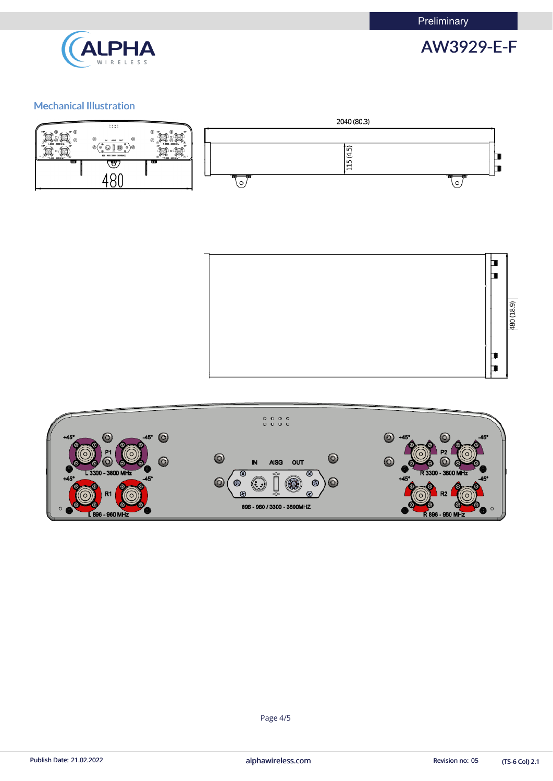**Preliminary** 



## Mechanical Illustration









(TS-6 Col) 2.1

Page 4/5

Publish Date: 21.02.2022 **alphawireless.com** and a series and a series of the Revision no: 05